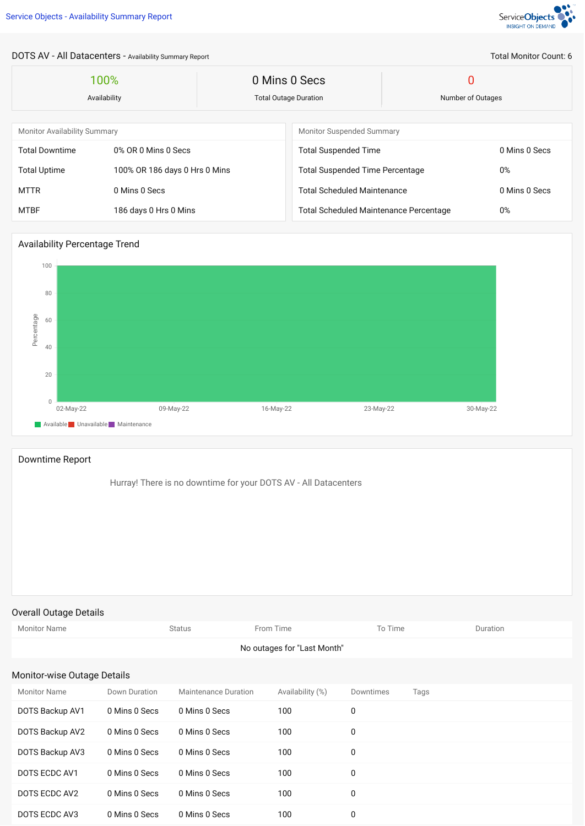

Total Monitor Count: 6

## DOTS AV - All Datacenters - Availability Summary Report

| 100%<br>Availability                |                               | 0 Mins 0 Secs<br><b>Total Outage Duration</b> |                                               | 0<br>Number of Outages |               |  |
|-------------------------------------|-------------------------------|-----------------------------------------------|-----------------------------------------------|------------------------|---------------|--|
|                                     |                               |                                               |                                               |                        |               |  |
| <b>Monitor Availability Summary</b> |                               |                                               | <b>Monitor Suspended Summary</b>              |                        |               |  |
| <b>Total Downtime</b>               | 0% OR 0 Mins 0 Secs           |                                               | <b>Total Suspended Time</b>                   | 0 Mins 0 Secs          |               |  |
| <b>Total Uptime</b>                 | 100% OR 186 days 0 Hrs 0 Mins |                                               | <b>Total Suspended Time Percentage</b>        | $0\%$                  |               |  |
| <b>MTTR</b>                         | 0 Mins 0 Secs                 |                                               | <b>Total Scheduled Maintenance</b>            |                        | 0 Mins 0 Secs |  |
| <b>MTBF</b>                         | 186 days 0 Hrs 0 Mins         |                                               | <b>Total Scheduled Maintenance Percentage</b> |                        | $0\%$         |  |

## Availability Percentage Trend



## Downtime Report

Hurray! There is no downtime for your DOTS AV - All Datacenters

## Overall Outage Details

| <b>Monitor Name</b>         |               | <b>Status</b>               | From Time        | To Time   |      | Duration |  |  |
|-----------------------------|---------------|-----------------------------|------------------|-----------|------|----------|--|--|
| No outages for "Last Month" |               |                             |                  |           |      |          |  |  |
| Monitor-wise Outage Details |               |                             |                  |           |      |          |  |  |
| <b>Monitor Name</b>         | Down Duration | <b>Maintenance Duration</b> | Availability (%) | Downtimes | Tags |          |  |  |
| DOTS Backup AV1             | 0 Mins 0 Secs | 0 Mins 0 Secs               | 100              | 0         |      |          |  |  |
| DOTS Backup AV2             | 0 Mins 0 Secs | 0 Mins 0 Secs               | 100              | 0         |      |          |  |  |
| DOTS Backup AV3             | 0 Mins 0 Secs | 0 Mins 0 Secs               | 100              | 0         |      |          |  |  |
| DOTS ECDC AV1               | 0 Mins 0 Secs | 0 Mins 0 Secs               | 100              | 0         |      |          |  |  |
| DOTS ECDC AV2               | 0 Mins 0 Secs | 0 Mins 0 Secs               | 100              | 0         |      |          |  |  |
| DOTS ECDC AV3               | 0 Mins 0 Secs | 0 Mins 0 Secs               | 100              | 0         |      |          |  |  |